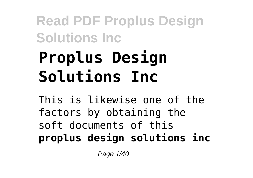# **Proplus Design Solutions Inc**

This is likewise one of the factors by obtaining the soft documents of this **proplus design solutions inc**

Page 1/40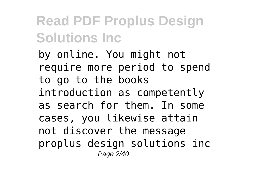by online. You might not require more period to spend to go to the books introduction as competently as search for them. In some cases, you likewise attain not discover the message proplus design solutions inc Page 2/40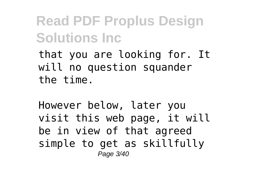that you are looking for. It will no question squander the time.

However below, later you visit this web page, it will be in view of that agreed simple to get as skillfully Page 3/40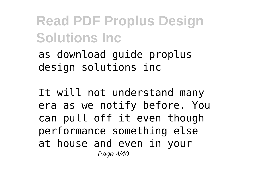as download guide proplus design solutions inc

It will not understand many era as we notify before. You can pull off it even though performance something else at house and even in your Page 4/40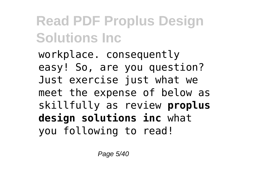workplace. consequently easy! So, are you question? Just exercise just what we meet the expense of below as skillfully as review **proplus design solutions inc** what you following to read!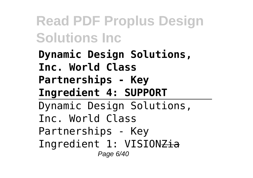**Dynamic Design Solutions, Inc. World Class Partnerships - Key Ingredient 4: SUPPORT** Dynamic Design Solutions, Inc. World Class Partnerships - Key Ingredient 1: VISIONZia Page 6/40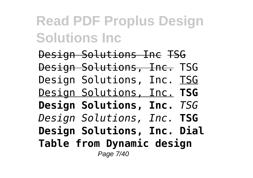Design Solutions Inc TSG Design Solutions, Inc. TSG Design Solutions, Inc. TSG Design Solutions, Inc. **TSG Design Solutions, Inc.** *TSG Design Solutions, Inc.* **TSG Design Solutions, Inc. Dial Table from Dynamic design** Page 7/40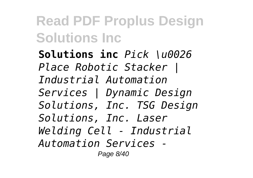**Solutions inc** *Pick \u0026 Place Robotic Stacker | Industrial Automation Services | Dynamic Design Solutions, Inc. TSG Design Solutions, Inc. Laser Welding Cell - Industrial Automation Services -* Page 8/40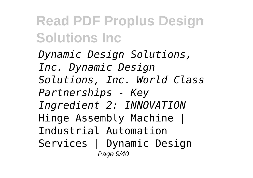*Dynamic Design Solutions, Inc. Dynamic Design Solutions, Inc. World Class Partnerships - Key Ingredient 2: INNOVATION* Hinge Assembly Machine | Industrial Automation Services | Dynamic Design Page 9/40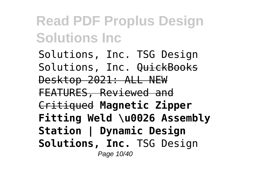Solutions, Inc. TSG Design Solutions, Inc.  $\theta$ uickBooks Desktop 2021: ALL NEW FEATURES, Reviewed and Critiqued **Magnetic Zipper Fitting Weld \u0026 Assembly Station | Dynamic Design Solutions, Inc.** TSG Design Page 10/40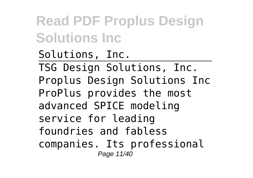Solutions, Inc. TSG Design Solutions, Inc. Proplus Design Solutions Inc ProPlus provides the most advanced SPICE modeling service for leading foundries and fabless companies. Its professional Page 11/40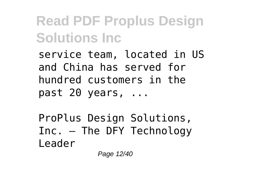service team, located in US and China has served for hundred customers in the past 20 years, ...

ProPlus Design Solutions, Inc. – The DFY Technology Leader

Page 12/40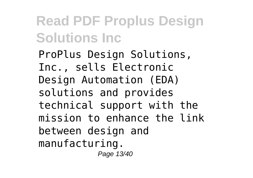ProPlus Design Solutions, Inc., sells Electronic Design Automation (EDA) solutions and provides technical support with the mission to enhance the link between design and manufacturing. Page 13/40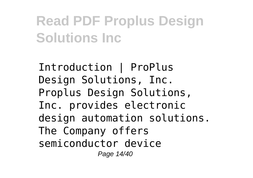Introduction | ProPlus Design Solutions, Inc. Proplus Design Solutions, Inc. provides electronic design automation solutions. The Company offers semiconductor device Page 14/40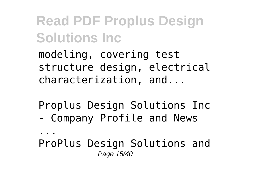modeling, covering test structure design, electrical characterization, and...

Proplus Design Solutions Inc - Company Profile and News

...

ProPlus Design Solutions and Page 15/40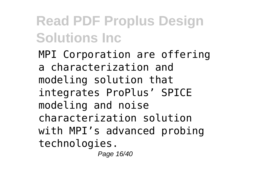MPI Corporation are offering a characterization and modeling solution that integrates ProPlus' SPICE modeling and noise characterization solution with MPI's advanced probing technologies.

Page 16/40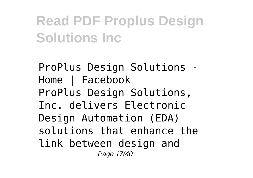ProPlus Design Solutions - Home | Facebook ProPlus Design Solutions, Inc. delivers Electronic Design Automation (EDA) solutions that enhance the link between design and Page 17/40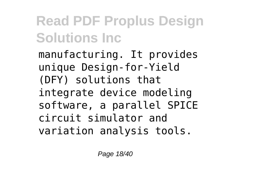manufacturing. It provides unique Design-for-Yield (DFY) solutions that integrate device modeling software, a parallel SPICE circuit simulator and variation analysis tools.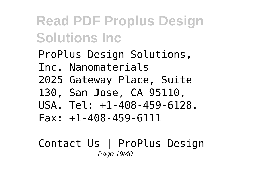ProPlus Design Solutions, Inc. Nanomaterials 2025 Gateway Place, Suite 130, San Jose, CA 95110,  $IISA$   $Te1 \cdot 1 - 408 - 459 - 6128$  $Fax: +1-408-459-6111$ 

#### Contact Us | ProPlus Design Page 19/40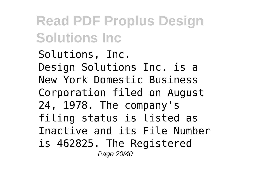Solutions, Inc. Design Solutions Inc. is a New York Domestic Business Corporation filed on August 24, 1978. The company's filing status is listed as Inactive and its File Number is 462825. The Registered Page 20/40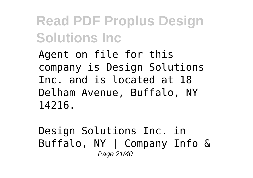Agent on file for this company is Design Solutions Inc. and is located at 18 Delham Avenue, Buffalo, NY 14216.

Design Solutions Inc. in Buffalo, NY | Company Info & Page 21/40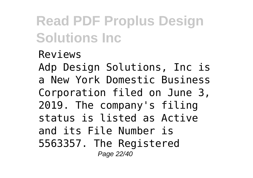Reviews Adp Design Solutions, Inc is a New York Domestic Business Corporation filed on June 3, 2019. The company's filing status is listed as Active and its File Number is 5563357. The Registered Page 22/40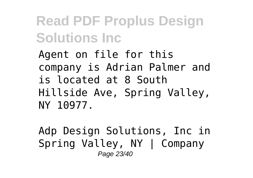Agent on file for this company is Adrian Palmer and is located at 8 South Hillside Ave, Spring Valley, NY 10977.

Adp Design Solutions, Inc in Spring Valley, NY | Company Page 23/40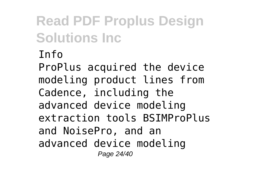#### Info

ProPlus acquired the device modeling product lines from Cadence, including the advanced device modeling extraction tools BSIMProPlus and NoisePro, and an advanced device modeling Page 24/40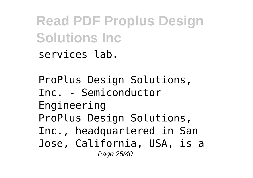**Read PDF Proplus Design Solutions Inc** services lab.

ProPlus Design Solutions, Inc. - Semiconductor Engineering ProPlus Design Solutions, Inc., headquartered in San Jose, California, USA, is a Page 25/40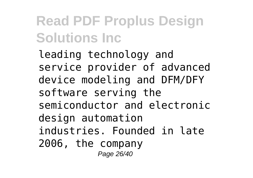leading technology and service provider of advanced device modeling and DFM/DFY software serving the semiconductor and electronic design automation industries. Founded in late 2006, the company Page 26/40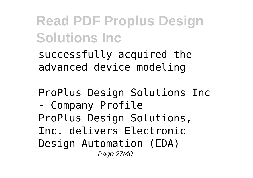successfully acquired the advanced device modeling

ProPlus Design Solutions Inc

- Company Profile ProPlus Design Solutions, Inc. delivers Electronic Design Automation (EDA) Page 27/40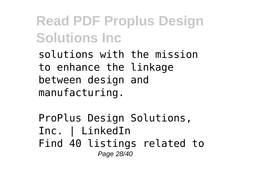solutions with the mission to enhance the linkage between design and manufacturing.

ProPlus Design Solutions, Inc. | LinkedIn Find 40 listings related to Page 28/40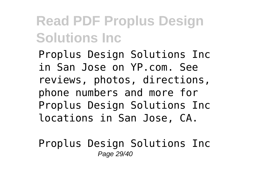Proplus Design Solutions Inc in San Jose on YP.com. See reviews, photos, directions, phone numbers and more for Proplus Design Solutions Inc locations in San Jose, CA.

Proplus Design Solutions Inc Page 29/40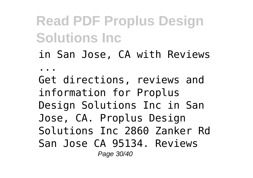in San Jose, CA with Reviews

...

Get directions, reviews and information for Proplus Design Solutions Inc in San Jose, CA. Proplus Design Solutions Inc 2860 Zanker Rd San Jose CA 95134. Reviews Page 30/40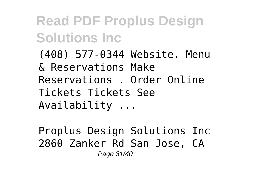(408) 577-0344 Website. Menu & Reservations Make Reservations . Order Online Tickets Tickets See Availability ...

Proplus Design Solutions Inc 2860 Zanker Rd San Jose, CA Page 31/40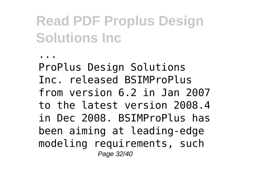...

ProPlus Design Solutions Inc. released BSIMProPlus from version 6.2 in Jan 2007 to the latest version 2008.4 in Dec 2008. BSIMProPlus has been aiming at leading-edge modeling requirements, such Page 32/40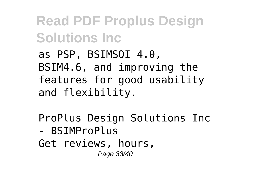as PSP, BSIMSOI 4.0, BSIM4.6, and improving the features for good usability and flexibility.

ProPlus Design Solutions Inc

- BSIMProPlus Get reviews, hours, Page 33/40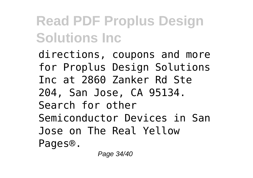directions, coupons and more for Proplus Design Solutions Inc at 2860 Zanker Rd Ste 204, San Jose, CA 95134. Search for other Semiconductor Devices in San Jose on The Real Yellow Pages®.

Page 34/40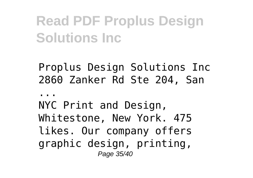Proplus Design Solutions Inc 2860 Zanker Rd Ste 204, San

...

NYC Print and Design, Whitestone, New York. 475 likes. Our company offers graphic design, printing, Page 35/40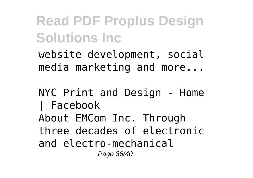website development, social media marketing and more...

#### NYC Print and Design - Home | Facebook About EMCom Inc. Through three decades of electronic and electro-mechanical Page 36/40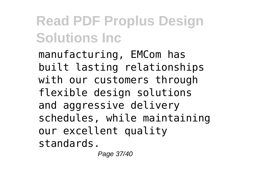manufacturing, EMCom has built lasting relationships with our customers through flexible design solutions and aggressive delivery schedules, while maintaining our excellent quality standards.

Page 37/40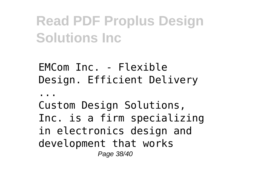EMCom Inc. - Flexible Design. Efficient Delivery

...

Custom Design Solutions, Inc. is a firm specializing in electronics design and development that works Page 38/40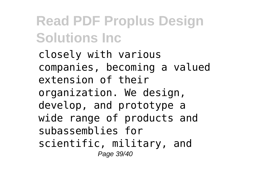closely with various companies, becoming a valued extension of their organization. We design, develop, and prototype a wide range of products and subassemblies for scientific, military, and Page 39/40